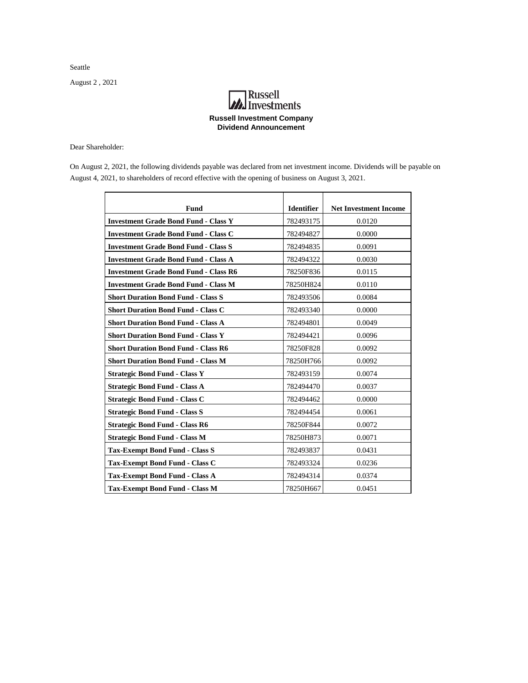Seattle

August 2 , 2021

## **MA**<br>Investments **Russell Investment Company Dividend Announcement**

Dear Shareholder:

On August 2, 2021, the following dividends payable was declared from net investment income. Dividends will be payable on August 4, 2021, to shareholders of record effective with the opening of business on August 3, 2021.

| <b>Fund</b>                                  | <b>Identifier</b> | <b>Net Investment Income</b> |
|----------------------------------------------|-------------------|------------------------------|
| <b>Investment Grade Bond Fund - Class Y</b>  | 782493175         | 0.0120                       |
| <b>Investment Grade Bond Fund - Class C</b>  | 782494827         | 0.0000                       |
| <b>Investment Grade Bond Fund - Class S</b>  | 782494835         | 0.0091                       |
| <b>Investment Grade Bond Fund - Class A</b>  | 782494322         | 0.0030                       |
| <b>Investment Grade Bond Fund - Class R6</b> | 78250F836         | 0.0115                       |
| <b>Investment Grade Bond Fund - Class M</b>  | 78250H824         | 0.0110                       |
| <b>Short Duration Bond Fund - Class S</b>    | 782493506         | 0.0084                       |
| <b>Short Duration Bond Fund - Class C</b>    | 782493340         | 0.0000                       |
| <b>Short Duration Bond Fund - Class A</b>    | 782494801         | 0.0049                       |
| <b>Short Duration Bond Fund - Class Y</b>    | 782494421         | 0.0096                       |
| <b>Short Duration Bond Fund - Class R6</b>   | 78250F828         | 0.0092                       |
| <b>Short Duration Bond Fund - Class M</b>    | 78250H766         | 0.0092                       |
| <b>Strategic Bond Fund - Class Y</b>         | 782493159         | 0.0074                       |
| <b>Strategic Bond Fund - Class A</b>         | 782494470         | 0.0037                       |
| <b>Strategic Bond Fund - Class C</b>         | 782494462         | 0.0000                       |
| <b>Strategic Bond Fund - Class S</b>         | 782494454         | 0.0061                       |
| <b>Strategic Bond Fund - Class R6</b>        | 78250F844         | 0.0072                       |
| <b>Strategic Bond Fund - Class M</b>         | 78250H873         | 0.0071                       |
| <b>Tax-Exempt Bond Fund - Class S</b>        | 782493837         | 0.0431                       |
| <b>Tax-Exempt Bond Fund - Class C</b>        | 782493324         | 0.0236                       |
| <b>Tax-Exempt Bond Fund - Class A</b>        | 782494314         | 0.0374                       |
| <b>Tax-Exempt Bond Fund - Class M</b>        | 78250H667         | 0.0451                       |